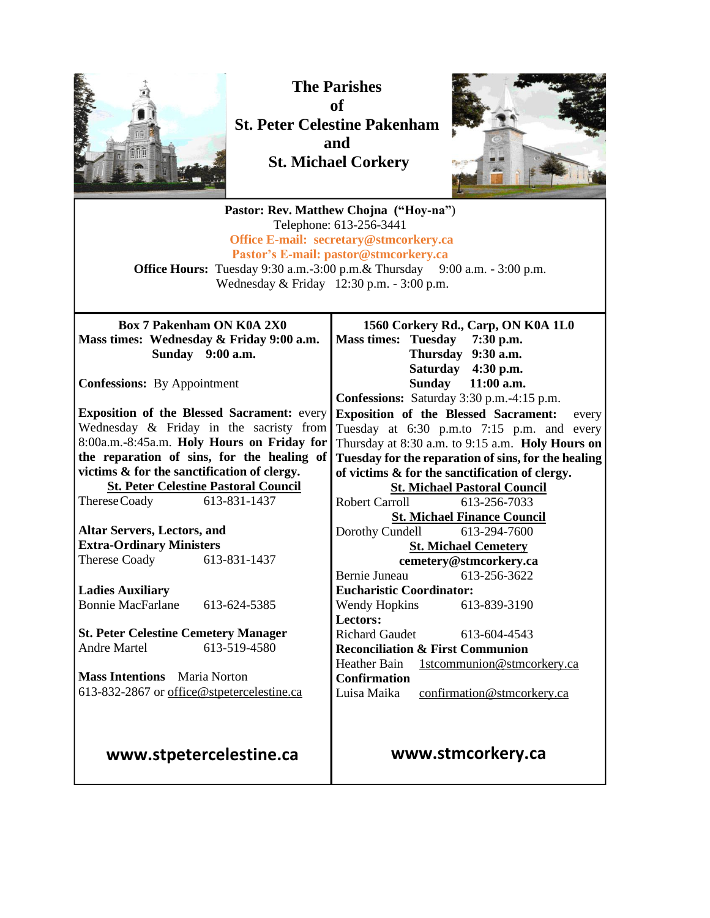

**The Parishes of St. Peter Celestine Pakenham and St. Michael Corkery**



**Pastor: Rev. Matthew Chojna ("Hoy-na"**) Telephone: 613-256-3441 **Office E-mail: secretary@stmcorkery.ca Pastor's E-mail: pastor@stmcorkery.ca Office Hours:** Tuesday 9:30 a.m.-3:00 p.m. & Thursday 9:00 a.m. - 3:00 p.m. Wednesday & Friday 12:30 p.m. - 3:00 p.m. **Box 7 Pakenham ON K0A 2X0 Mass times: Wednesday & Friday 9:00 a.m. Sunday 9:00 a.m. Confessions:** By Appointment **Exposition of the Blessed Sacrament:** every Wednesday & Friday in the sacristy from 8:00a.m.-8:45a.m. **Holy Hours on Friday for the reparation of sins, for the healing of victims & for the sanctification of clergy. St. Peter Celestine Pastoral Council** ThereseCoady 613-831-1437 **Altar Servers, Lectors, and Extra-Ordinary Ministers** Therese Coady 613-831-1437 **Ladies Auxiliary** Bonnie MacFarlane 613-624-5385 **St. Peter Celestine Cemetery Manager** Andre Martel 613-519-4580 **Mass Intentions** Maria Norton 613-832-2867 or [office@stpetercelestine.ca](mailto:office@stpetercelestine.ca) **www.stpetercelestine.ca 1560 Corkery Rd., Carp, ON K0A 1L0 Mass times: Tuesday 7:30 p.m. Thursday 9:30 a.m. Saturday 4:30 p.m. Sunday 11:00 a.m. Confessions:** Saturday 3:30 p.m.-4:15 p.m. **Exposition of the Blessed Sacrament:** every Tuesday at 6:30 p.m.to 7:15 p.m. and every Thursday at 8:30 a.m. to 9:15 a.m. **Holy Hours on Tuesday for the reparation of sins, for the healing of victims & for the sanctification of clergy. St. Michael Pastoral Council** Robert Carroll 613-256-7033 **St. Michael Finance Council** Dorothy Cundell 613-294-7600 **St. Michael Cemetery cemetery@stmcorkery.ca** Bernie Juneau 613-256-3622 **Eucharistic Coordinator:**  Wendy Hopkins 613-839-3190 **Lectors:**  Richard Gaudet [613-604-4543](tel:613-604-4543) **Reconciliation & First Communion**  Heather Bain 1stcommunion@stmcorkery.ca **Confirmation** Luisa Maika confirmation@stmcorkery.ca **www.stmcorkery.ca**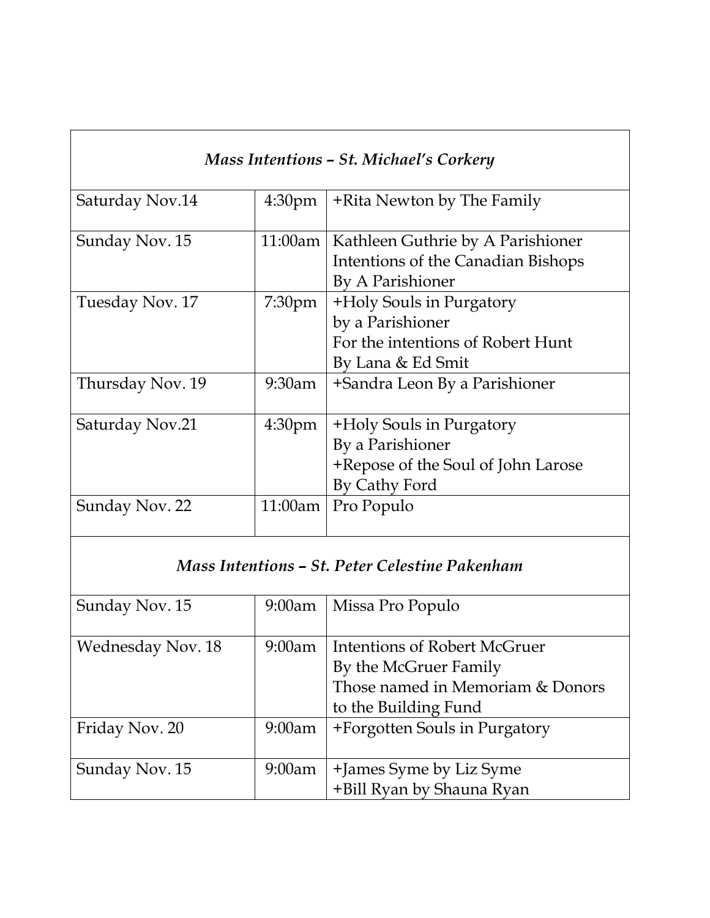| Mass Intentions - St. Michael's Corkery |                    |                                                                                                        |
|-----------------------------------------|--------------------|--------------------------------------------------------------------------------------------------------|
| Saturday Nov.14                         | 4:30 <sub>pm</sub> | +Rita Newton by The Family                                                                             |
| Sunday Nov. 15                          | 11:00am            | Kathleen Guthrie by A Parishioner<br>Intentions of the Canadian Bishops<br>By A Parishioner            |
| Tuesday Nov. 17                         | 7:30 <sub>pm</sub> | +Holy Souls in Purgatory<br>by a Parishioner<br>For the intentions of Robert Hunt<br>By Lana & Ed Smit |
| Thursday Nov. 19                        | $9:30$ am          | +Sandra Leon By a Parishioner                                                                          |
| Saturday Nov.21                         | 4:30 <sub>pm</sub> | +Holy Souls in Purgatory<br>By a Parishioner<br>+Repose of the Soul of John Larose<br>By Cathy Ford    |
| Sunday Nov. 22                          | 11:00am            | Pro Populo                                                                                             |

# *Mass Intentions – St. Peter Celestine Pakenham*

| Sunday Nov. 15           | $9:00$ am | Missa Pro Populo                                       |
|--------------------------|-----------|--------------------------------------------------------|
|                          |           |                                                        |
| <b>Wednesday Nov. 18</b> | 9:00am    | Intentions of Robert McGruer                           |
|                          |           | By the McGruer Family                                  |
|                          |           | Those named in Memoriam & Donors                       |
|                          |           | to the Building Fund                                   |
| Friday Nov. 20           | $9:00$ am | +Forgotten Souls in Purgatory                          |
|                          |           |                                                        |
| Sunday Nov. 15           | 9:00am    |                                                        |
|                          |           | +James Syme by Liz Syme<br>  +Bill Ryan by Shauna Ryan |